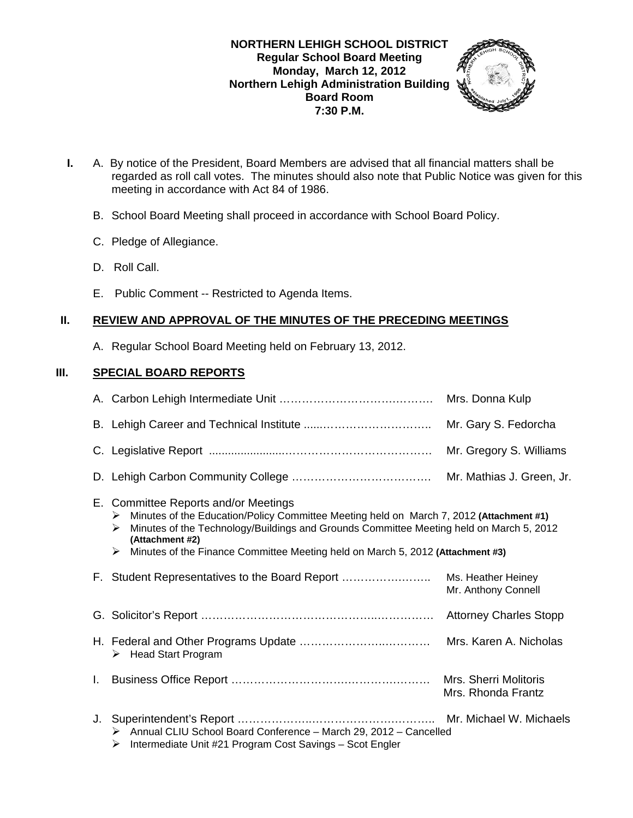### **NORTHERN LEHIGH SCHOOL DISTRICT Regular School Board Meeting Monday, March 12, 2012 Northern Lehigh Administration Building Board Room 7:30 P.M.**



- **I.** A. By notice of the President, Board Members are advised that all financial matters shall be regarded as roll call votes. The minutes should also note that Public Notice was given for this meeting in accordance with Act 84 of 1986.
	- B. School Board Meeting shall proceed in accordance with School Board Policy.
	- C. Pledge of Allegiance.
	- D. Roll Call.
	- E. Public Comment -- Restricted to Agenda Items.

## **II. REVIEW AND APPROVAL OF THE MINUTES OF THE PRECEDING MEETINGS**

A. Regular School Board Meeting held on February 13, 2012.

### **III. SPECIAL BOARD REPORTS**

|    |                                                                                                                                                                                                                                                                                                                                                | Mrs. Donna Kulp                             |
|----|------------------------------------------------------------------------------------------------------------------------------------------------------------------------------------------------------------------------------------------------------------------------------------------------------------------------------------------------|---------------------------------------------|
|    |                                                                                                                                                                                                                                                                                                                                                | Mr. Gary S. Fedorcha                        |
|    |                                                                                                                                                                                                                                                                                                                                                | Mr. Gregory S. Williams                     |
|    |                                                                                                                                                                                                                                                                                                                                                | Mr. Mathias J. Green, Jr.                   |
|    | E. Committee Reports and/or Meetings<br>Minutes of the Education/Policy Committee Meeting held on March 7, 2012 (Attachment #1)<br>➤<br>Minutes of the Technology/Buildings and Grounds Committee Meeting held on March 5, 2012<br>➤<br>(Attachment #2)<br>Minutes of the Finance Committee Meeting held on March 5, 2012 (Attachment #3)<br>≻ |                                             |
|    | F. Student Representatives to the Board Report                                                                                                                                                                                                                                                                                                 | Ms. Heather Heiney<br>Mr. Anthony Connell   |
|    |                                                                                                                                                                                                                                                                                                                                                | <b>Attorney Charles Stopp</b>               |
|    | $\triangleright$ Head Start Program                                                                                                                                                                                                                                                                                                            | Mrs. Karen A. Nicholas                      |
| L. |                                                                                                                                                                                                                                                                                                                                                | Mrs. Sherri Molitoris<br>Mrs. Rhonda Frantz |
| J. | Annual CLIU School Board Conference - March 29, 2012 - Cancelled<br>➤<br>Intermediate Unit #21 Program Cost Savings - Scot Engler<br>➤                                                                                                                                                                                                         |                                             |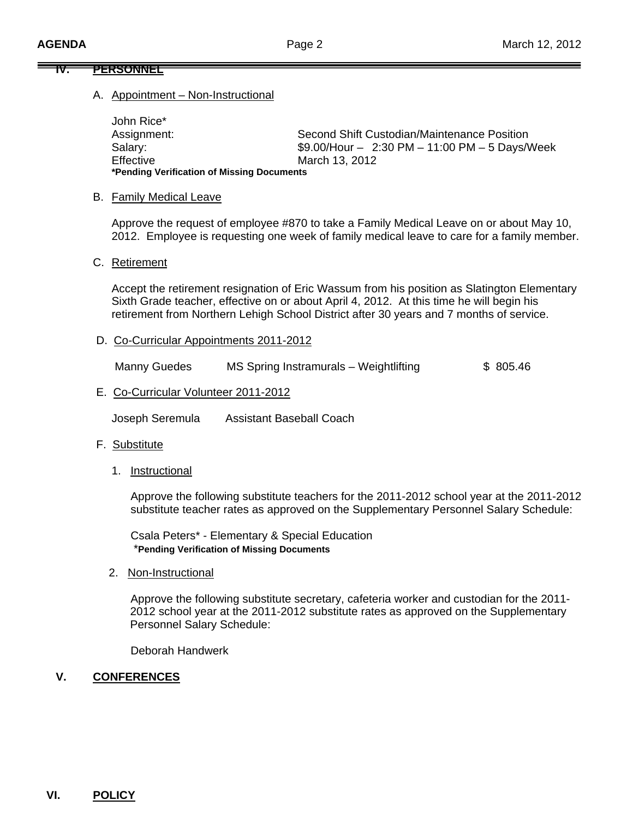### **IV. PERSONNEL**

#### A. Appointment – Non-Instructional

 John Rice\* Assignment: Second Shift Custodian/Maintenance Position Salary: \$9.00/Hour – 2:30 PM – 11:00 PM – 5 Days/Week Effective March 13, 2012  **\*Pending Verification of Missing Documents** 

#### B. Family Medical Leave

 Approve the request of employee #870 to take a Family Medical Leave on or about May 10, 2012. Employee is requesting one week of family medical leave to care for a family member.

#### C. Retirement

Accept the retirement resignation of Eric Wassum from his position as Slatington Elementary Sixth Grade teacher, effective on or about April 4, 2012. At this time he will begin his retirement from Northern Lehigh School District after 30 years and 7 months of service.

D. Co-Curricular Appointments 2011-2012

Manny Guedes MS Spring Instramurals – Weightlifting \$ 805.46

E. Co-Curricular Volunteer 2011-2012

Joseph Seremula Assistant Baseball Coach

#### F. Substitute

1. Instructional

 Approve the following substitute teachers for the 2011-2012 school year at the 2011-2012 substitute teacher rates as approved on the Supplementary Personnel Salary Schedule:

 Csala Peters\* - Elementary & Special Education \***Pending Verification of Missing Documents**

2. Non-Instructional

 Approve the following substitute secretary, cafeteria worker and custodian for the 2011- 2012 school year at the 2011-2012 substitute rates as approved on the Supplementary Personnel Salary Schedule:

Deborah Handwerk

#### **V. CONFERENCES**

### **VI. POLICY**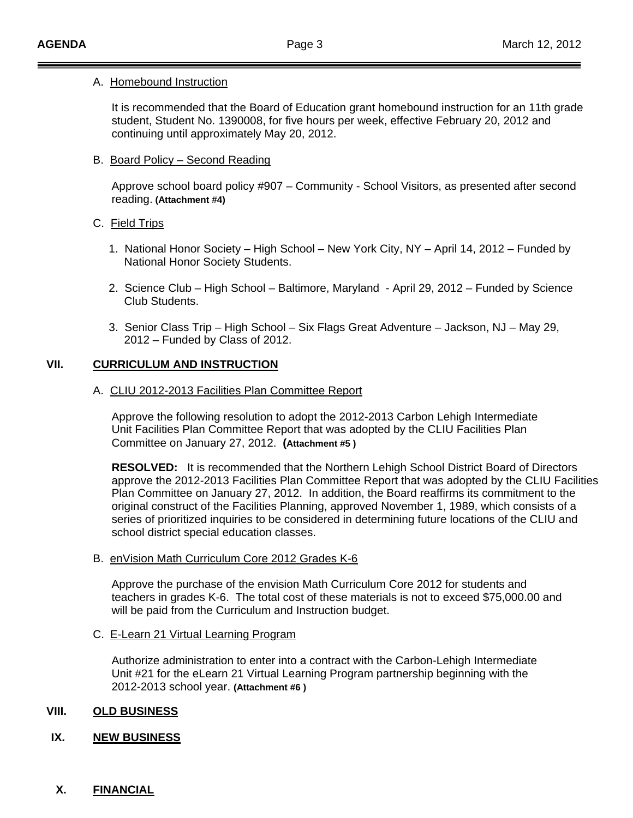#### A.Homebound Instruction

 It is recommended that the Board of Education grant homebound instruction for an 11th grade student, Student No. 1390008, for five hours per week, effective February 20, 2012 and continuing until approximately May 20, 2012.

### B. Board Policy – Second Reading

 Approve school board policy #907 – Community - School Visitors, as presented after second reading. **(Attachment #4)** 

### C. Field Trips

- 1. National Honor Society High School New York City, NY April 14, 2012 Funded by National Honor Society Students.
- 2. Science Club High School Baltimore, Maryland April 29, 2012 Funded by Science Club Students.
- 3. Senior Class Trip High School Six Flags Great Adventure Jackson, NJ May 29, 2012 – Funded by Class of 2012.

### **VII. CURRICULUM AND INSTRUCTION**

A. CLIU 2012-2013 Facilities Plan Committee Report

 Approve the following resolution to adopt the 2012-2013 Carbon Lehigh Intermediate Unit Facilities Plan Committee Report that was adopted by the CLIU Facilities Plan Committee on January 27, 2012. **(Attachment #5 )** 

**RESOLVED:** It is recommended that the Northern Lehigh School District Board of Directors approve the 2012-2013 Facilities Plan Committee Report that was adopted by the CLIU Facilities Plan Committee on January 27, 2012. In addition, the Board reaffirms its commitment to the original construct of the Facilities Planning, approved November 1, 1989, which consists of a series of prioritized inquiries to be considered in determining future locations of the CLIU and school district special education classes.

### B. enVision Math Curriculum Core 2012 Grades K-6

 Approve the purchase of the envision Math Curriculum Core 2012 for students and teachers in grades K-6. The total cost of these materials is not to exceed \$75,000.00 and will be paid from the Curriculum and Instruction budget.

### C. E-Learn 21 Virtual Learning Program

 Authorize administration to enter into a contract with the Carbon-Lehigh Intermediate Unit #21 for the eLearn 21 Virtual Learning Program partnership beginning with the 2012-2013 school year. **(Attachment #6 )** 

### **VIII. OLD BUSINESS**

### **IX. NEW BUSINESS**

### **X. FINANCIAL**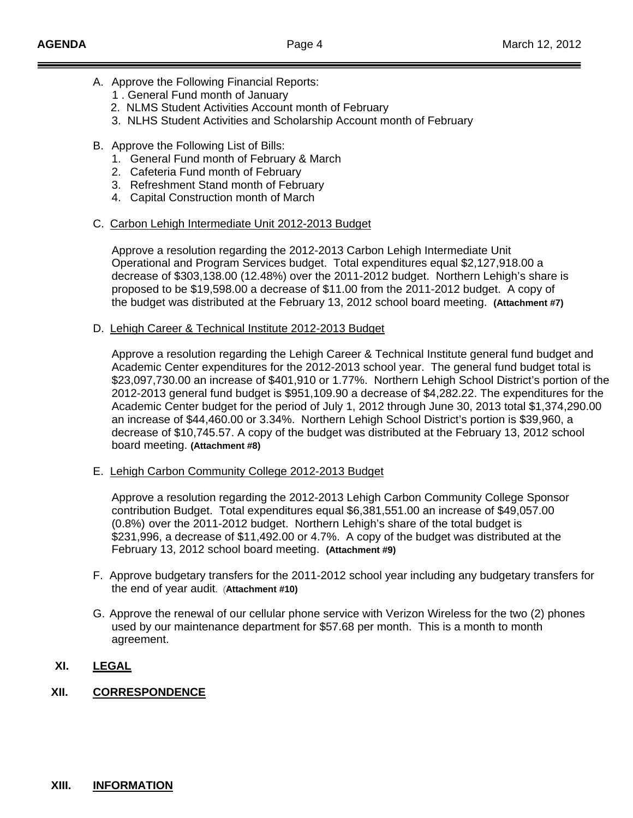- A. Approve the Following Financial Reports:
	- 1 . General Fund month of January
	- 2. NLMS Student Activities Account month of February
	- 3. NLHS Student Activities and Scholarship Account month of February
- B. Approve the Following List of Bills:
	- 1. General Fund month of February & March
	- 2. Cafeteria Fund month of February
	- 3. Refreshment Stand month of February
	- 4. Capital Construction month of March
- C. Carbon Lehigh Intermediate Unit 2012-2013 Budget

 Approve a resolution regarding the 2012-2013 Carbon Lehigh Intermediate Unit Operational and Program Services budget. Total expenditures equal \$2,127,918.00 a decrease of \$303,138.00 (12.48%) over the 2011-2012 budget. Northern Lehigh's share is proposed to be \$19,598.00 a decrease of \$11.00 from the 2011-2012 budget. A copy of the budget was distributed at the February 13, 2012 school board meeting. **(Attachment #7)** 

D. Lehigh Career & Technical Institute 2012-2013 Budget

Approve a resolution regarding the Lehigh Career & Technical Institute general fund budget and Academic Center expenditures for the 2012-2013 school year. The general fund budget total is \$23,097,730.00 an increase of \$401,910 or 1.77%. Northern Lehigh School District's portion of the 2012-2013 general fund budget is \$951,109.90 a decrease of \$4,282.22. The expenditures for the Academic Center budget for the period of July 1, 2012 through June 30, 2013 total \$1,374,290.00 an increase of \$44,460.00 or 3.34%. Northern Lehigh School District's portion is \$39,960, a decrease of \$10,745.57. A copy of the budget was distributed at the February 13, 2012 school board meeting. **(Attachment #8)** 

E. Lehigh Carbon Community College 2012-2013 Budget

 Approve a resolution regarding the 2012-2013 Lehigh Carbon Community College Sponsor contribution Budget. Total expenditures equal \$6,381,551.00 an increase of \$49,057.00 (0.8%) over the 2011-2012 budget. Northern Lehigh's share of the total budget is \$231,996, a decrease of \$11,492.00 or 4.7%. A copy of the budget was distributed at the February 13, 2012 school board meeting. **(Attachment #9)** 

- F. Approve budgetary transfers for the 2011-2012 school year including any budgetary transfers for the end of year audit. (**Attachment #10)**
- G. Approve the renewal of our cellular phone service with Verizon Wireless for the two (2) phones used by our maintenance department for \$57.68 per month. This is a month to month agreement.

## **XI. LEGAL**

### **XII. CORRESPONDENCE**

#### **XIII. INFORMATION**